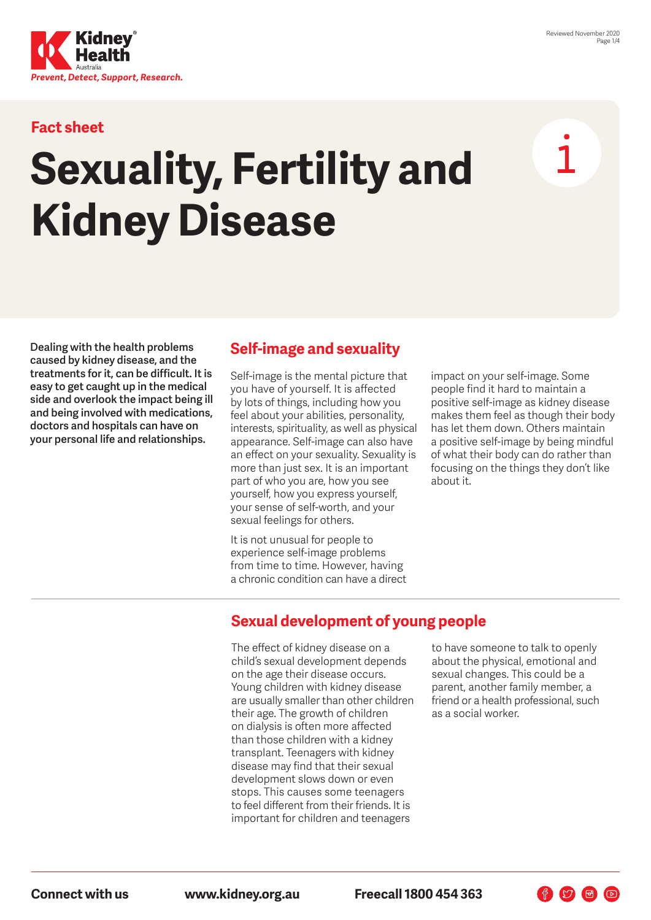

## **Fact sheet**

# **Sexuality, Fertility and Kidney Disease**

**Dealing with the health problems caused by kidney disease, and the treatments for it, can be difficult. It is easy to get caught up in the medical side and overlook the impact being ill and being involved with medications, doctors and hospitals can have on your personal life and relationships.**

## **Self-image and sexuality**

Self-image is the mental picture that you have of yourself. It is affected by lots of things, including how you feel about your abilities, personality, interests, spirituality, as well as physical appearance. Self-image can also have an effect on your sexuality. Sexuality is more than just sex. It is an important part of who you are, how you see yourself, how you express yourself, your sense of self-worth, and your sexual feelings for others.

It is not unusual for people to experience self-image problems from time to time. However, having a chronic condition can have a direct impact on your self-image. Some people find it hard to maintain a positive self-image as kidney disease makes them feel as though their body has let them down. Others maintain a positive self-image by being mindful of what their body can do rather than focusing on the things they don't like about it.

## **Sexual development of young people**

The effect of kidney disease on a child's sexual development depends on the age their disease occurs. Young children with kidney disease are usually smaller than other children their age. The growth of children on dialysis is often more affected than those children with a kidney transplant. Teenagers with kidney disease may find that their sexual development slows down or even stops. This causes some teenagers to feel different from their friends. It is important for children and teenagers

to have someone to talk to openly about the physical, emotional and sexual changes. This could be a parent, another family member, a friend or a health professional, such as a social worker.

 $\begin{picture}(60,6) \put(0,0){\line(1,0){10}} \put(15,0){\line(1,0){10}} \put(15,0){\line(1,0){10}} \put(15,0){\line(1,0){10}} \put(15,0){\line(1,0){10}} \put(15,0){\line(1,0){10}} \put(15,0){\line(1,0){10}} \put(15,0){\line(1,0){10}} \put(15,0){\line(1,0){10}} \put(15,0){\line(1,0){10}} \put(15,0){\line(1,0){10}} \put(15,0){\line(1,$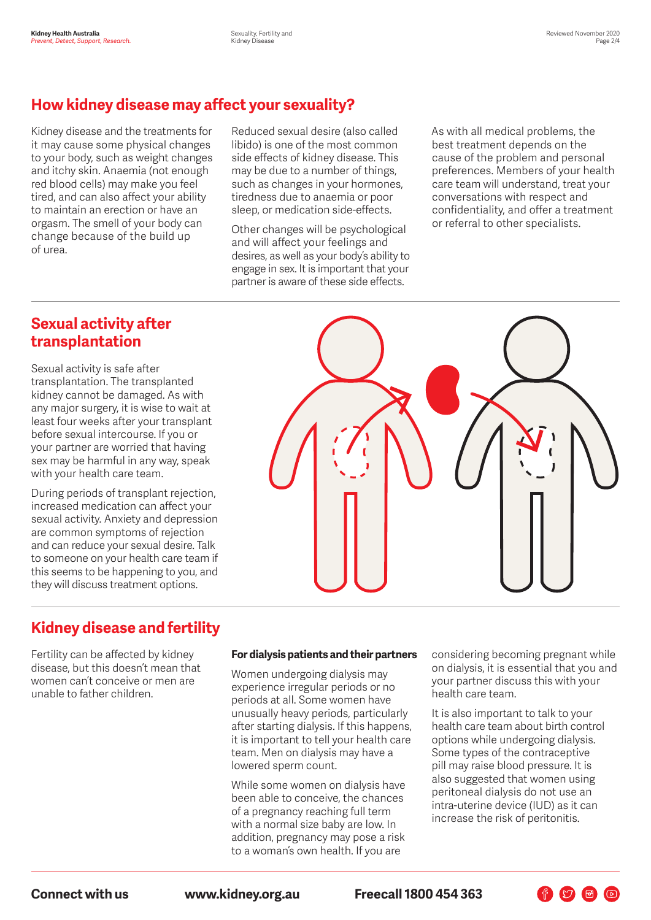## **How kidney disease may affect your sexuality?**

Kidney disease and the treatments for it may cause some physical changes to your body, such as weight changes and itchy skin. Anaemia (not enough red blood cells) may make you feel tired, and can also affect your ability to maintain an erection or have an orgasm. The smell of your body can change because of the build up of urea.

Reduced sexual desire (also called libido) is one of the most common side effects of kidney disease. This may be due to a number of things, such as changes in your hormones, tiredness due to anaemia or poor sleep, or medication side-effects.

Other changes will be psychological and will affect your feelings and desires, as well as your body's ability to engage in sex. It is important that your partner is aware of these side effects.

As with all medical problems, the best treatment depends on the cause of the problem and personal preferences. Members of your health care team will understand, treat your conversations with respect and confidentiality, and offer a treatment or referral to other specialists.

## **Sexual activity after transplantation**

Sexual activity is safe after transplantation. The transplanted kidney cannot be damaged. As with any major surgery, it is wise to wait at least four weeks after your transplant before sexual intercourse. If you or your partner are worried that having sex may be harmful in any way, speak with your health care team.

During periods of transplant rejection, increased medication can affect your sexual activity. Anxiety and depression are common symptoms of rejection and can reduce your sexual desire. Talk to someone on your health care team if this seems to be happening to you, and they will discuss treatment options.



## **Kidney disease and fertility**

Fertility can be affected by kidney disease, but this doesn't mean that women can't conceive or men are unable to father children.

#### **For dialysis patients and their partners**

Women undergoing dialysis may experience irregular periods or no periods at all. Some women have unusually heavy periods, particularly after starting dialysis. If this happens, it is important to tell your health care team. Men on dialysis may have a lowered sperm count.

While some women on dialysis have been able to conceive, the chances of a pregnancy reaching full term with a normal size baby are low. In addition, pregnancy may pose a risk to a woman's own health. If you are

considering becoming pregnant while on dialysis, it is essential that you and your partner discuss this with your health care team.

It is also important to talk to your health care team about birth control options while undergoing dialysis. Some types of the contraceptive pill may raise blood pressure. It is also suggested that women using peritoneal dialysis do not use an intra-uterine device (IUD) as it can increase the risk of peritonitis.

F V F D

**Connect with us www.kidney.org.au Freecall 1800 454 363**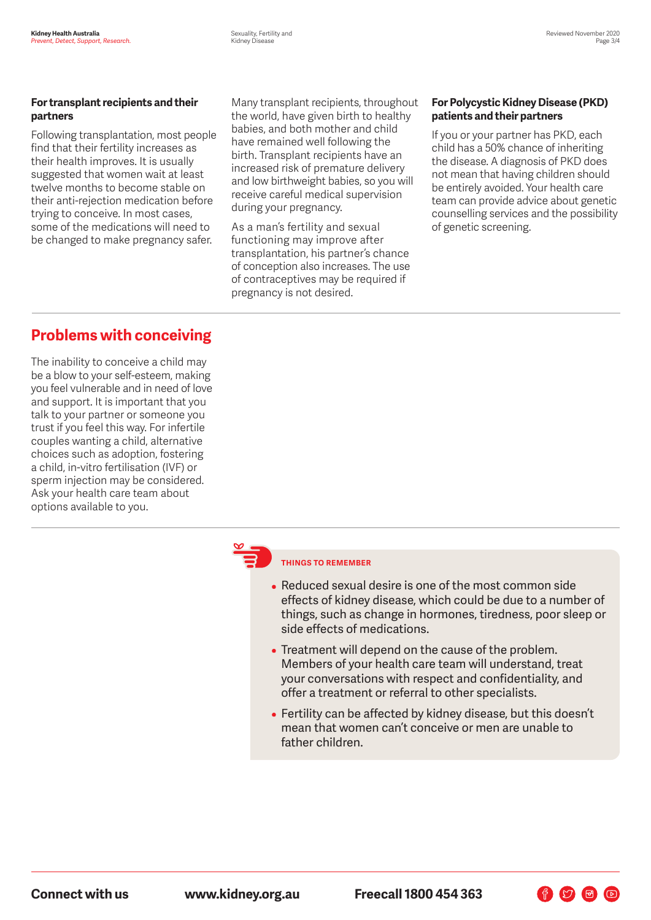#### **For transplant recipients and their partners**

Following transplantation, most people find that their fertility increases as their health improves. It is usually suggested that women wait at least twelve months to become stable on their anti-rejection medication before trying to conceive. In most cases, some of the medications will need to be changed to make pregnancy safer.

Many transplant recipients, throughout the world, have given birth to healthy babies, and both mother and child have remained well following the birth. Transplant recipients have an increased risk of premature delivery and low birthweight babies, so you will receive careful medical supervision during your pregnancy.

As a man's fertility and sexual functioning may improve after transplantation, his partner's chance of conception also increases. The use of contraceptives may be required if pregnancy is not desired.

#### **For Polycystic Kidney Disease (PKD) patients and their partners**

If you or your partner has PKD, each child has a 50% chance of inheriting the disease. A diagnosis of PKD does not mean that having children should be entirely avoided. Your health care team can provide advice about genetic counselling services and the possibility of genetic screening.

# **Problems with conceiving**

The inability to conceive a child may be a blow to your self-esteem, making you feel vulnerable and in need of love and support. It is important that you talk to your partner or someone you trust if you feel this way. For infertile couples wanting a child, alternative choices such as adoption, fostering a child, in-vitro fertilisation (IVF) or sperm injection may be considered. Ask your health care team about options available to you.

### **THINGS TO REMEMBER**

- Reduced sexual desire is one of the most common side effects of kidney disease, which could be due to a number of things, such as change in hormones, tiredness, poor sleep or side effects of medications.
- Treatment will depend on the cause of the problem. Members of your health care team will understand, treat your conversations with respect and confidentiality, and offer a treatment or referral to other specialists.
- Fertility can be affected by kidney disease, but this doesn't mean that women can't conceive or men are unable to father children.

 $\begin{picture}(60,6) \put(0,0){\line(1,0){10}} \put(15,0){\line(1,0){10}} \put(15,0){\line(1,0){10}} \put(15,0){\line(1,0){10}} \put(15,0){\line(1,0){10}} \put(15,0){\line(1,0){10}} \put(15,0){\line(1,0){10}} \put(15,0){\line(1,0){10}} \put(15,0){\line(1,0){10}} \put(15,0){\line(1,0){10}} \put(15,0){\line(1,0){10}} \put(15,0){\line(1,$